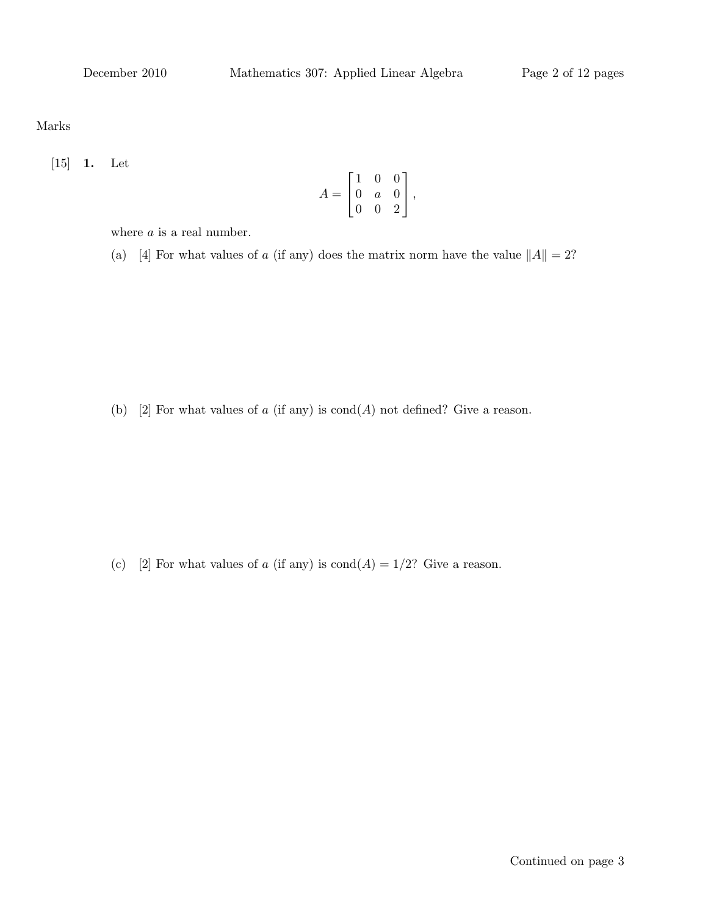Marks

[15] 1. Let

$$
A = \begin{bmatrix} 1 & 0 & 0 \\ 0 & a & 0 \\ 0 & 0 & 2 \end{bmatrix},
$$

where  $a$  is a real number.

(a) [4] For what values of a (if any) does the matrix norm have the value  $||A|| = 2$ ?

(b) [2] For what values of a (if any) is  $\text{cond}(A)$  not defined? Give a reason.

(c) [2] For what values of a (if any) is  $\text{cond}(A) = 1/2$ ? Give a reason.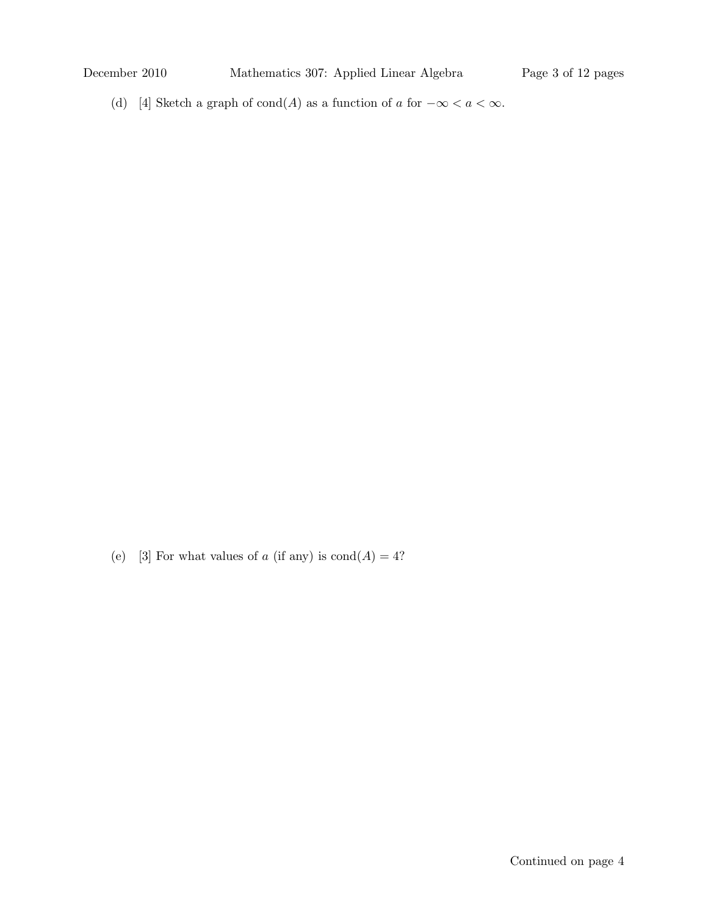(d) [4] Sketch a graph of cond(A) as a function of a for  $-\infty < a < \infty$ .

(e) [3] For what values of  $a$  (if any) is  $\text{cond}(A) = 4$ ?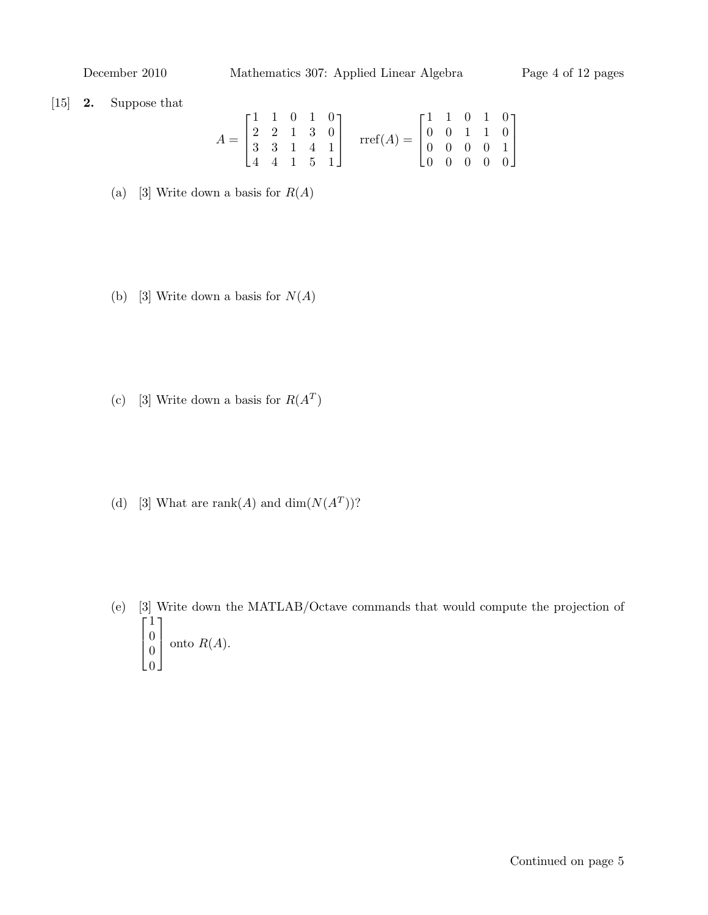December 2010 Mathematics 307: Applied Linear Algebra Page 4 of 12 pages

## [15] 2. Suppose that

$$
A = \begin{bmatrix} 1 & 1 & 0 & 1 & 0 \\ 2 & 2 & 1 & 3 & 0 \\ 3 & 3 & 1 & 4 & 1 \\ 4 & 4 & 1 & 5 & 1 \end{bmatrix} \quad \text{rref}(A) = \begin{bmatrix} 1 & 1 & 0 & 1 & 0 \\ 0 & 0 & 1 & 1 & 0 \\ 0 & 0 & 0 & 0 & 1 \\ 0 & 0 & 0 & 0 & 0 \end{bmatrix}
$$

- (a) [3] Write down a basis for  $R(A)$
- (b) [3] Write down a basis for  $N(A)$
- (c) [3] Write down a basis for  $R(A^T)$
- (d) [3] What are rank(A) and dim( $N(A^T)$ )?
- (e) [3] Write down the MATLAB/Octave commands that would compute the projection of  $\lceil$  $\vert$ 1  $\theta$  $\theta$  $\theta$ 1  $\vert$ onto  $R(A)$ .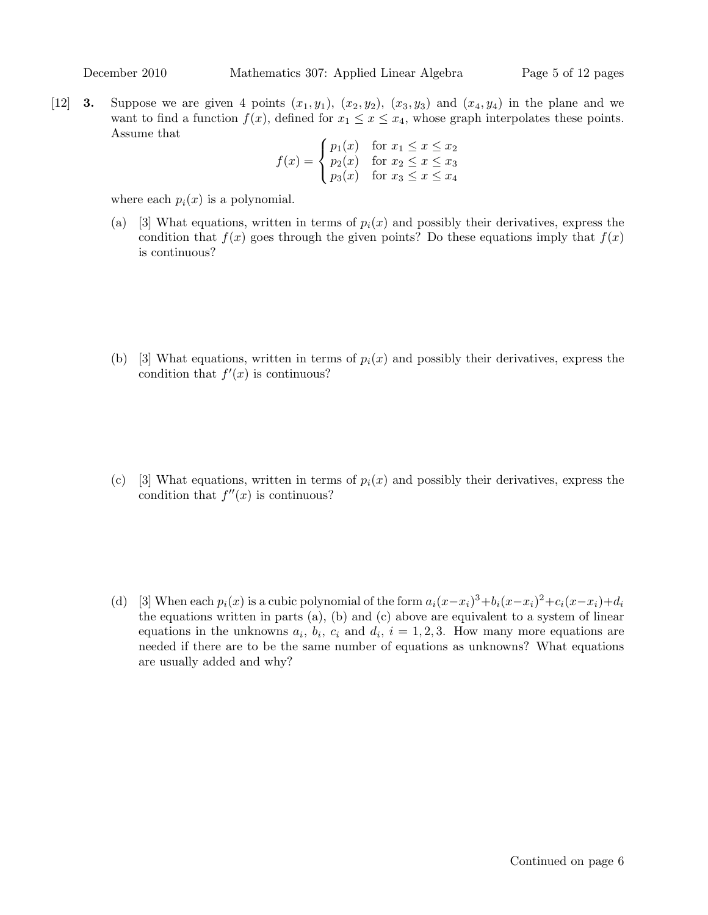[12] **3.** Suppose we are given 4 points  $(x_1, y_1)$ ,  $(x_2, y_2)$ ,  $(x_3, y_3)$  and  $(x_4, y_4)$  in the plane and we want to find a function  $f(x)$ , defined for  $x_1 \le x \le x_4$ , whose graph interpolates these points. Assume that

$$
f(x) = \begin{cases} p_1(x) & \text{for } x_1 \le x \le x_2 \\ p_2(x) & \text{for } x_2 \le x \le x_3 \\ p_3(x) & \text{for } x_3 \le x \le x_4 \end{cases}
$$

where each  $p_i(x)$  is a polynomial.

(a) [3] What equations, written in terms of  $p_i(x)$  and possibly their derivatives, express the condition that  $f(x)$  goes through the given points? Do these equations imply that  $f(x)$ is continuous?

(b) [3] What equations, written in terms of  $p_i(x)$  and possibly their derivatives, express the condition that  $f'(x)$  is continuous?

- (c) [3] What equations, written in terms of  $p_i(x)$  and possibly their derivatives, express the condition that  $f''(x)$  is continuous?
- (d) [3] When each  $p_i(x)$  is a cubic polynomial of the form  $a_i(x-x_i)^3+b_i(x-x_i)^2+c_i(x-x_i)+d_i$ the equations written in parts (a), (b) and (c) above are equivalent to a system of linear equations in the unknowns  $a_i$ ,  $b_i$ ,  $c_i$  and  $d_i$ ,  $i = 1, 2, 3$ . How many more equations are needed if there are to be the same number of equations as unknowns? What equations are usually added and why?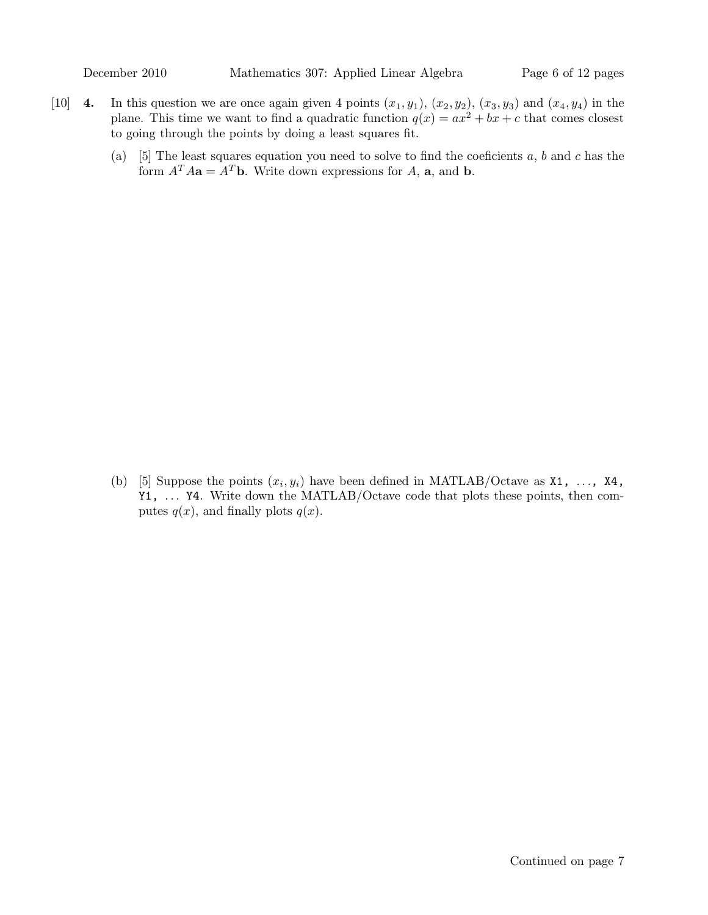- [10] 4. In this question we are once again given 4 points  $(x_1, y_1)$ ,  $(x_2, y_2)$ ,  $(x_3, y_3)$  and  $(x_4, y_4)$  in the plane. This time we want to find a quadratic function  $q(x) = ax^2 + bx + c$  that comes closest to going through the points by doing a least squares fit.
	- (a) [5] The least squares equation you need to solve to find the coeficients  $a, b$  and  $c$  has the form  $A^T A a = A^T b$ . Write down expressions for A, a, and b.

(b) [5] Suppose the points  $(x_i, y_i)$  have been defined in MATLAB/Octave as **X1**, ..., **X4**, Y1, ... Y4. Write down the MATLAB/Octave code that plots these points, then computes  $q(x)$ , and finally plots  $q(x)$ .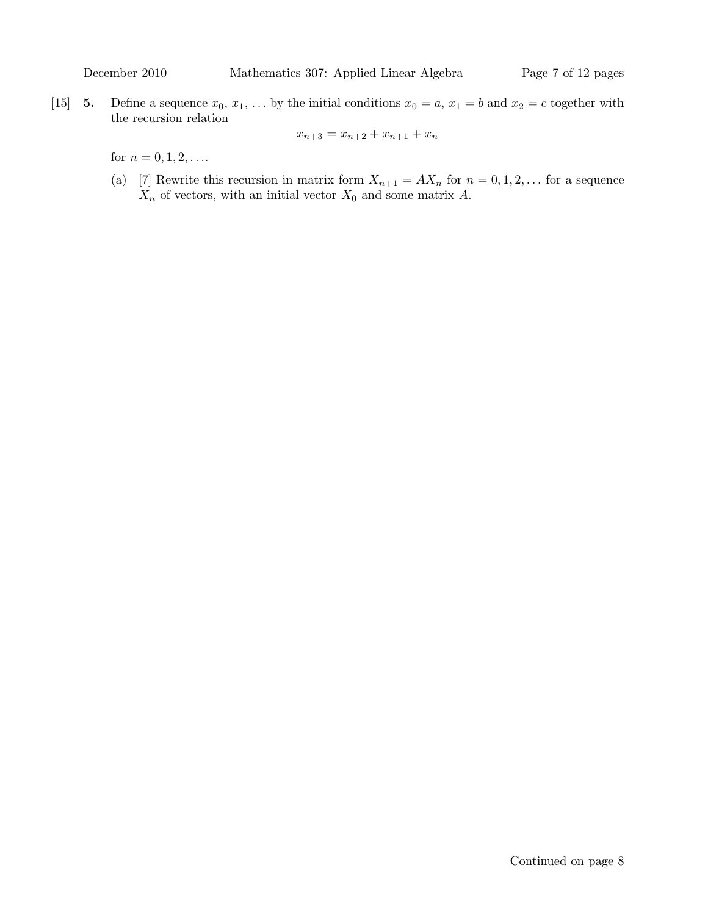[15] 5. Define a sequence  $x_0, x_1, \ldots$  by the initial conditions  $x_0 = a, x_1 = b$  and  $x_2 = c$  together with the recursion relation

$$
x_{n+3} = x_{n+2} + x_{n+1} + x_n
$$

for  $n = 0, 1, 2, \ldots$ 

(a) [7] Rewrite this recursion in matrix form  $X_{n+1} = AX_n$  for  $n = 0, 1, 2, \ldots$  for a sequence  $X_n$  of vectors, with an initial vector  $X_0$  and some matrix A.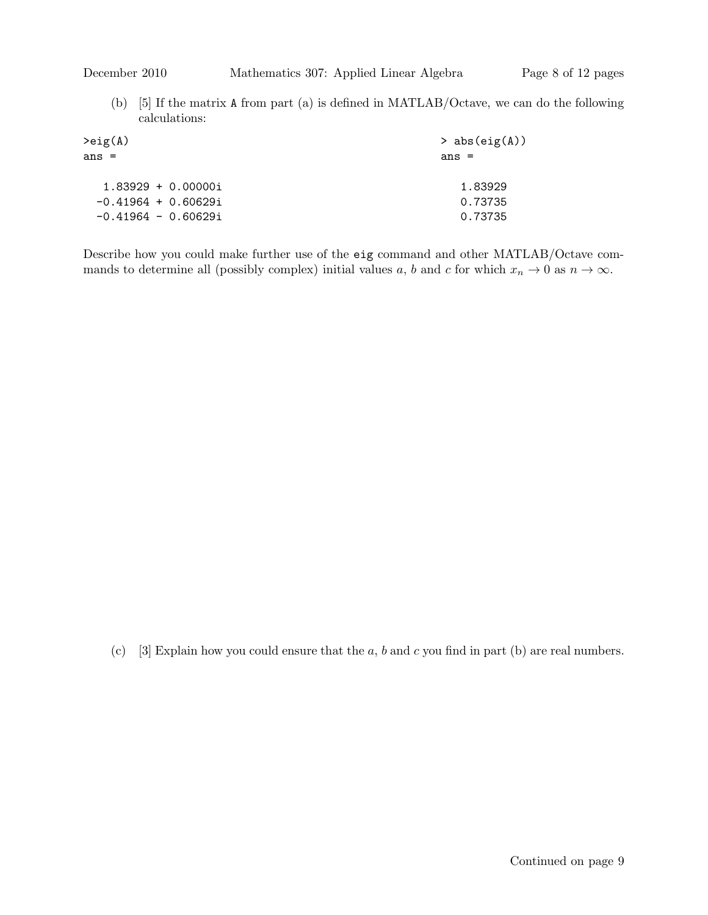(b) [5] If the matrix A from part (a) is defined in MATLAB/Octave, we can do the following calculations:

| $>$ abs(eig(A)) |
|-----------------|
| $ans =$         |
| 1.83929         |
| 0.73735         |
| 0.73735         |
|                 |

Describe how you could make further use of the eig command and other MATLAB/Octave commands to determine all (possibly complex) initial values a, b and c for which  $x_n \to 0$  as  $n \to \infty$ .

(c) [3] Explain how you could ensure that the  $a, b$  and  $c$  you find in part (b) are real numbers.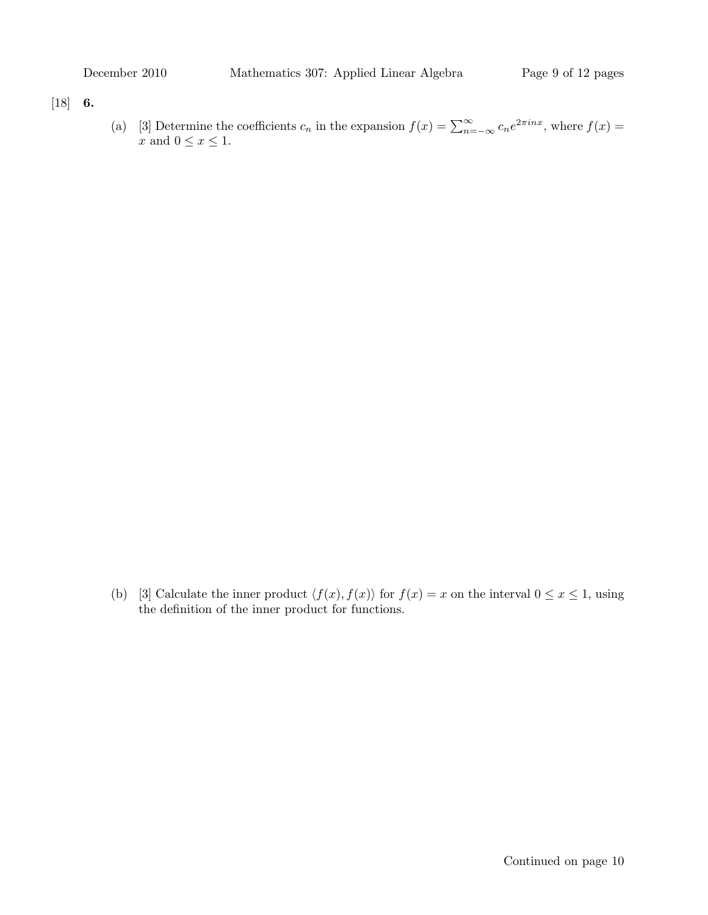### $[18]$  6.

(a) [3] Determine the coefficients  $c_n$  in the expansion  $f(x) = \sum_{n=-\infty}^{\infty} c_n e^{2\pi i nx}$ , where  $f(x) =$  $x$  and  $0\leq x\leq 1.$ 

(b) [3] Calculate the inner product  $\langle f(x), f(x) \rangle$  for  $f(x) = x$  on the interval  $0 \le x \le 1$ , using the definition of the inner product for functions.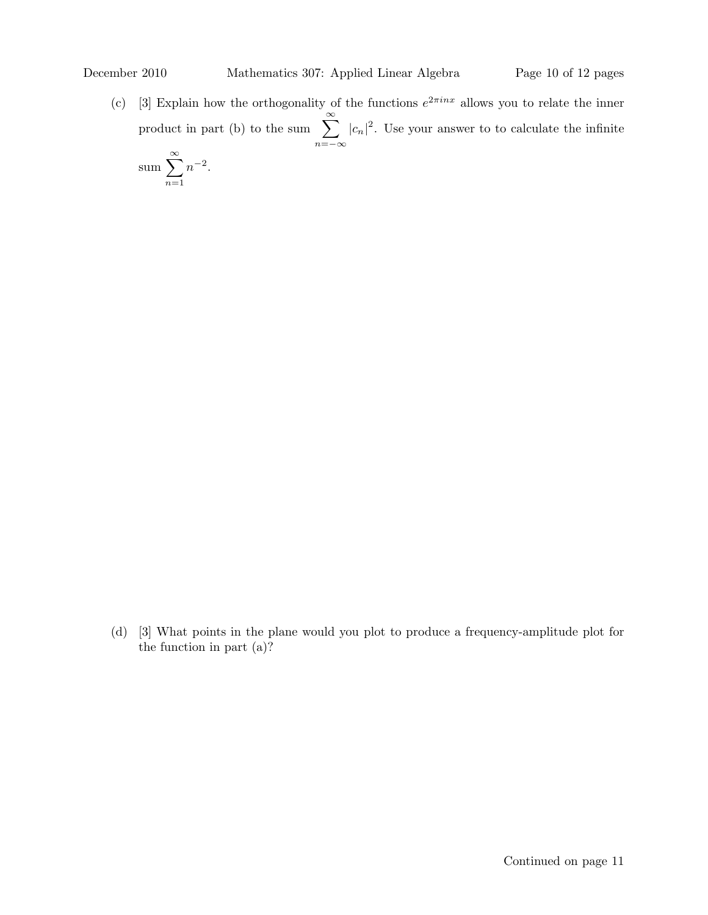(c) [3] Explain how the orthogonality of the functions  $e^{2\pi inx}$  allows you to relate the inner product in part (b) to the sum  $\sum_{n=1}^{\infty}$  $n=-\infty$  $|c_n|^2$ . Use your answer to to calculate the infinite

sum 
$$
\sum_{n=1}^{\infty} n^{-2}
$$
.

(d) [3] What points in the plane would you plot to produce a frequency-amplitude plot for the function in part (a)?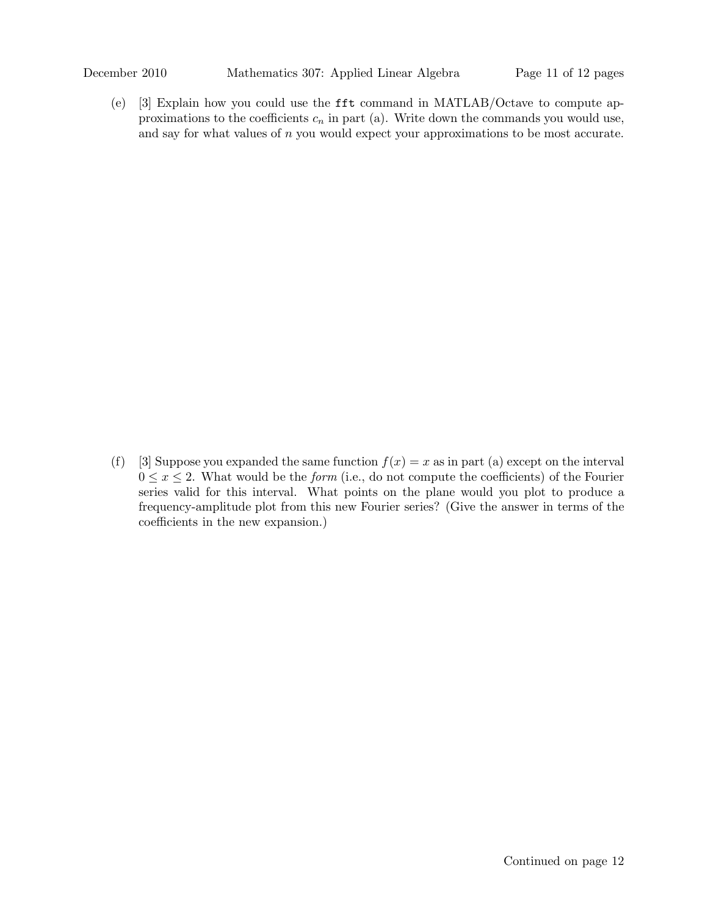(e) [3] Explain how you could use the fft command in MATLAB/Octave to compute approximations to the coefficients  $c_n$  in part (a). Write down the commands you would use, and say for what values of  $n$  you would expect your approximations to be most accurate.

(f) [3] Suppose you expanded the same function  $f(x) = x$  as in part (a) except on the interval  $0 \leq x \leq 2$ . What would be the *form* (i.e., do not compute the coefficients) of the Fourier series valid for this interval. What points on the plane would you plot to produce a frequency-amplitude plot from this new Fourier series? (Give the answer in terms of the coefficients in the new expansion.)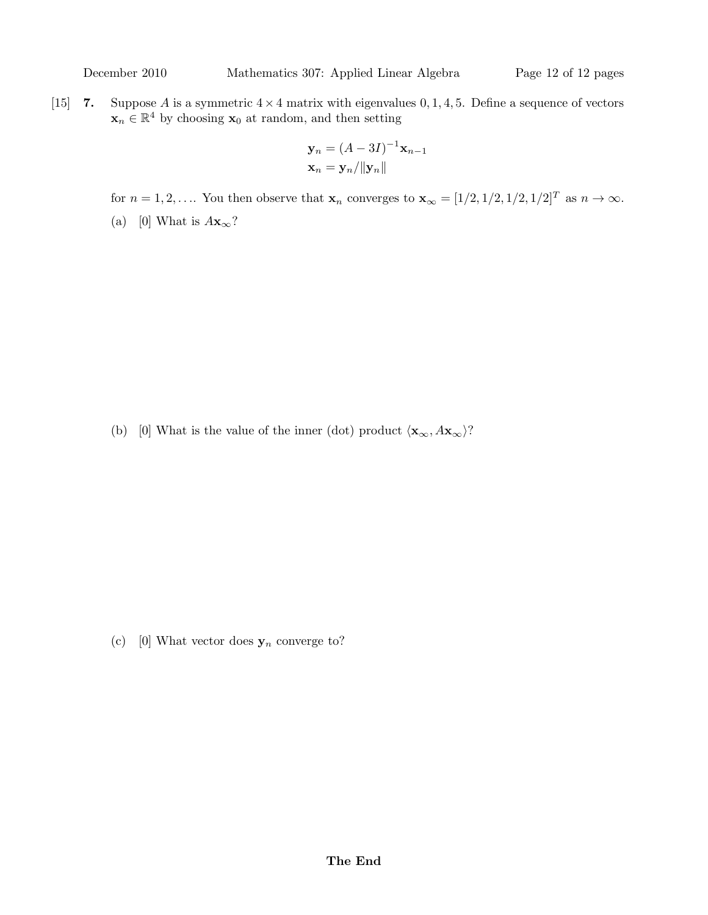[15] 7. Suppose A is a symmetric  $4 \times 4$  matrix with eigenvalues 0, 1, 4, 5. Define a sequence of vectors  $\mathbf{x}_n \in \mathbb{R}^4$  by choosing  $\mathbf{x}_0$  at random, and then setting

$$
\mathbf{y}_n = (A - 3I)^{-1} \mathbf{x}_{n-1}
$$

$$
\mathbf{x}_n = \mathbf{y}_n / \|\mathbf{y}_n\|
$$

for  $n = 1, 2, \ldots$ . You then observe that  $\mathbf{x}_n$  converges to  $\mathbf{x}_{\infty} = [1/2, 1/2, 1/2, 1/2]^T$  as  $n \to \infty$ .

(a) [0] What is  $A\mathbf{x}_{\infty}$ ?

(b) [0] What is the value of the inner (dot) product  $\langle \mathbf{x}_{\infty}, A\mathbf{x}_{\infty} \rangle$ ?

(c) [0] What vector does  $\mathbf{y}_n$  converge to?